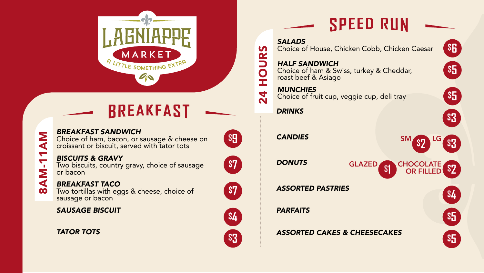



**\$9** *BREAKFAST SANDWICH* Choice of ham, bacon, or sausage & cheese on croissant or biscuit, served with tator tots

8AM-11AM

**AM-11** 

 $\boldsymbol{\infty}$ 

**NA** 

**\$7** *BISCUITS & GRAVY* Two biscuits, country gravy, choice of sausage or bacon

**\$7** *BREAKFAST TACO* Two tortillas with eggs & cheese, choice of sausage or bacon

**\$4** *SAUSAGE BISCUIT*

**\$3** *TATOR TOTS*











# **SPEED RUN**

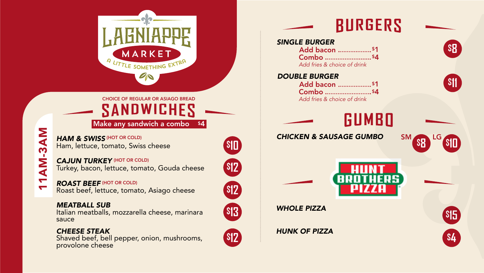

CHOICE OF REGULAR OR ASIAGO BREAD

SANDWICHES Make any sandwich a combo \$4

**\$10** *HAM & SWISS* Ham, lettuce, tomato, Swiss cheese

11AM-3AM

11AM-3AM

**\$12** *CAJUN TURKEY* Turkey, bacon, lettuce, tomato, Gouda cheese **CAJUN TURKEY (HOT OR COLD)** 

**\$12** *ROAST BEEF* Roast beef, lettuce, tomato, Asiago cheese **ROAST BEEF (HOT OR COLD)** 

**\$13** *MEATBALL SUB* Italian meatballs, mozzarella cheese, marinara sauce

## **\$12** *CHEESE STEAK* Shaved beef, bell pepper, onion, mushrooms, provolone cheese